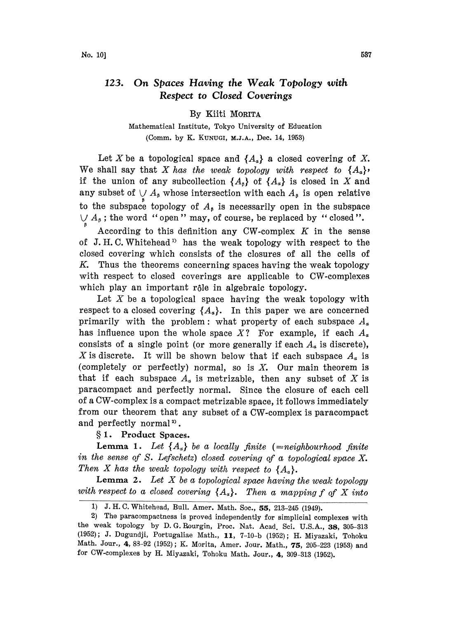## 123. On Spaces Having the Weak Topology with Respect to Closed Coverings

By Kiiti MORITA

Mathematical Institute, Tokyo University of Education (Comm. by K. KUNUGI, M.J.A., Dec. 14, 1953)

Let X be a topological space and  $\{A_{\alpha}\}\$ a closed covering of X. We shall say that X has the weak topology with respect to  $\{A_{\alpha}\}\$ . if the union of any subcollection  $\{A_{\beta}\}\$  of  $\{A_{\alpha}\}\$ is closed in X and any subset of  $\bigvee A_{\beta}$  whose intersection with each  $A_{\beta}$  is open relative to the subspace topology of  $A_{\beta}$  is necessarily open in the subspace  $\bigcup A_{\beta}$ ; the word "open" may, of course, be replaced by "closed".

According to this definition any CW-complex  $K$  in the sense of J.H.C. Whitehead<sup>1</sup> has the weak topology with respect to the closed covering which consists of the closures of all the cells of K. Thus the theorems concerning spaces having the weak topology with respect to closed coverings are applicable to CW-complexes which play an important rôle in algebraic topology.

Let X be a topological space having the weak topology with respect to a closed covering  $\{A_\alpha\}$ . In this paper we are concerned primarily with the problem: what property of each subspace  $A_{\alpha}$ has influence upon the whole space X? For example, if each  $A_{\alpha}$ consists of a single point (or more generally if each  $A_{\alpha}$  is discrete), X is discrete. It will be shown below that if each subspace  $A_n$  is (completely or perfectly) normal, so is  $X$ . Our main theorem is that if each subspace  $A_{\alpha}$  is metrizable, then any subset of X is paracompact and perfectly normal. Since the closure of each cell of a CW-complex is a compact metrizable space, it follows immediately from our theorem that any subset of a CW-complex is paracompact and perfectly normal<sup>2</sup>).

1. Product Spaces.

**Lemma 1.** Let  $\{A_{\alpha}\}\$ be a locally finite (=neighbourhood finite in the sense of S. Lefschetz) closed covering of a topological space  $X$ . Then X has the weak topology with respect to  $\{A_{\alpha}\}.$ 

**Lemma 2.** Let X be a topological space having the weak topology with respect to a closed covering  $\{A_{\alpha}\}.$  Then a mapping f of X into

<sup>1)</sup> J.H.C. Whitehead, Bull. Amer. Math. Soc., 55, 213-245 (1949).

<sup>2)</sup> The paracompactness is proved independently for simplicial complexes with the weak topology by D.G. Rourgin, Proc. Nat. Acad. Sci. U.S.A., 38, 305-313 (1952); J. Dugundji, Portugaliae Math., 11, 7-10-b (1952); H. Miyazaki, Tohoku Math. Jour., 4, 83-92 (1952); K. Morita, Amer. Jour. Math., 75, 205-223 (1953) and for CW-complexes by H. Miyazaki, Tohoku Math. Jour., 4, 309-313 (1952).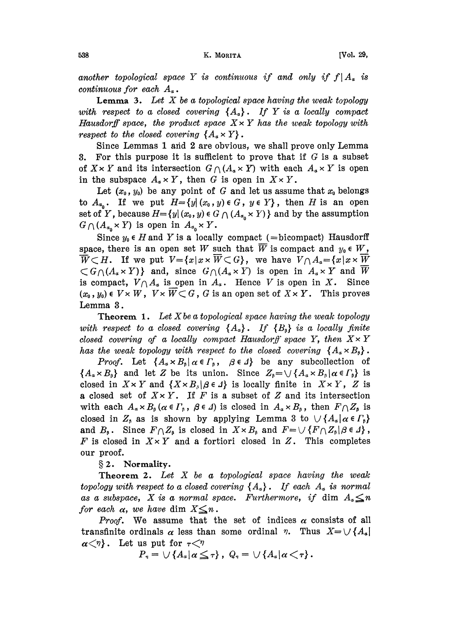another topological space Y is continuous if and only if  $f|A_{\alpha}$  is continuous for each  $A_{\alpha}$ .

**Lemma 3.** Let X be a topological space having the weak topology with respect to a closed covering  ${A_{\alpha}}$ . If Y is a locally compact Hausdorff space, the product space  $X \times Y$  has the weak topology with respect to the closed covering  ${A_{\alpha} \times Y}$ .

Since Lemmas 1 and 2 are obvious, we shall prove only Lemma 3. For this purpose it is sufficient to prove that if  $G$  is a subset 3. For this purpose it is sufficient to prove that if G is a subset<br>of  $X \times Y$  and its intersection  $G \cap (A_{\alpha} \times Y)$  with each  $A_{\alpha} \times Y$  is open of  $X \times Y$  and its intersection  $G \cap (A_{\alpha} \times Y)$  with each in the subspace  $A_{\alpha} \times Y$ , then G is open in  $X \times Y$ .

Let  $(x_0, y_0)$  be any point of G and let us assume that  $x_0$  belongs to  $A_{\alpha_0}$ . If we put  $H=\{y|(x_0,y)\in G, y\in Y\}$ , then H is an open set of Y, because  $H=\{y | (x_0, y) \in G \cap (A_{\alpha_0} \times Y)\}\$  and by the assumption  $G \bigcap (A_{\alpha_0} \times Y)$  is open in  $A_{\alpha_0} \times Y$ .

Since  $y_0 \in H$  and Y is a locally compact (=bicompact) Hausdorff space, there is an open set W such that  $\overline{W}$  is compact and  $y_0 \in W$ ,  $\overline{W} \subset H$ . If we put  $V = \{x | x \times \overline{W} \subset G\}$ , we have  $V \cap A_{\alpha} = \{x | x \times \overline{W}\}$  $\{G \cap (A_{\alpha} \times Y)\}\$  and, since  $G \cap (A_{\alpha} \times Y)$  is open in  $A_{\alpha} \times Y$  and W is compact,  $V \cap A_{\alpha}$  is open in  $A_{\alpha}$ . Hence V is open in X. Since  $(x_0, y_0) \in V \times W$ ,  $V \times W \subset G$ , G is an open set of  $X \times Y$ . This proves Lemma 3.

**Theorem 1.** Let X be a topological space having the weak topology with respect to a closed covering  ${A_{\alpha}}$ . If  ${B_{\beta}}$  is a locally finite closed covering of a locally compact Hausdorff space Y, then  $X \times Y$ has the weak topology with respect to the closed covering  $\{A_{\alpha} \times B_{\beta}\}.$ 

*Proof.* Let  $\{A_{\alpha} \times B_{\beta} | \alpha \in \Gamma_{\beta}, \beta \in \Lambda\}$  be any subcollection of  ${A_{\alpha} \times B_{\beta}}$  and let Z be its union. Since  $Z_{\beta} = \bigcup {A_{\alpha} \times B_{\beta} | \alpha \in \Gamma_{\beta}}$  is closed in  $X \times Y$  and  $\{X \times B_{\beta} | \beta \in \Lambda\}$  is locally finite in  $X \times Y$ , Z is a closed set of  $X \times Y$ . If F is a subset of Z and its intersection with each  $A_{\alpha} \times B_{\beta}$  ( $\alpha \in \Gamma_{\beta}$ ,  $\beta \in \Delta$ ) is closed in  $A_{\alpha} \times B_{\beta}$ , then  $F \cap Z_{\beta}$  is closed in  $Z_{\beta}$  as is shown by applying Lemma 3 to  $\bigcup \{A_{\alpha} | \alpha \in \Gamma_{\beta}\}\$ and  $B_{\beta}$ . Since  $F \cap Z_{\beta}$  is closed in  $X \times B_{\beta}$  and  $F = \bigcup \{F \cap Z_{\beta} | \beta \in \Lambda\}$ , F is closed in  $X \times Y$  and a fortiori closed in Z. This completes our proof.

§ 2. Normality.

**Theorem 2.** Let  $X$  be a topological space having the weak topology with respect to a closed covering  $\{A_{\alpha}\}\$ . If each  $A_{\alpha}$  is normal as a subspace, X is a normal space. Furthermore, if dim  $A_n \leq n$ for each  $\alpha$ , we have dim  $X \leq n$ .

*Proof.* We assume that the set of indices  $\alpha$  consists of all transfinite ordinals  $\alpha$  less than some ordinal  $\eta$ . Thus  $X = \bigcup \{A_{\alpha}\}\$  $\alpha \langle \eta \rangle$ . Let us put for  $\tau \langle \eta \rangle$ 

$$
P_{\tau} = \cup \{ A_{\alpha} | \alpha \leq \tau \}, \ Q_{\tau} = \cup \{ A_{\alpha} | \alpha \leq \tau \}.
$$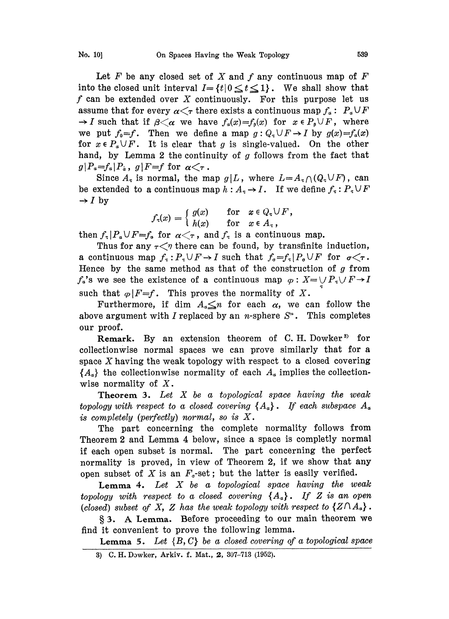Let F be any closed set of X and f any continuous map of  $F$ into the closed unit interval  $I = \{t | 0 \le t \le 1\}$ . We shall show that f can be extended over X continuously. For this purpose let us<br>assume that for every  $\alpha \leq \tau$  there exists a continuous map  $f_a : P_a \cup F$ <br> $\rightarrow I$  such that if  $\theta \leq \alpha$  we have  $f(\alpha) - f(\alpha)$  for  $x \in P \setminus F$  where  $\rightarrow I$  such that if  $\beta < \alpha$  we have  $f_a(x) = f_b(x)$  for  $x \in P_b \cup F$ , where we put  $f_0=f$ . Then we define a map  $g:Q_x\cup F\to I$  by  $g(x)=f_a(x)$ for  $x \in P_a \cup F$ . It is clear that g is single-valued. On the other hand, by Lemma 2 the continuity of  $g$  follows from the fact that  $g|P_a=f_a|P_a$ ,  $g|F=f$  for  $\alpha \leq \tau$ .

Since  $A_{\tau}$  is normal, the map  $g/L$ , where  $L=A_{\tau}\cap (Q_{\tau}\cup F)$ , can be extended to a continuous map  $h : A_{\tau} \to I$ . If we define  $f_{\tau} : P_{\tau} \cup F$ <br>  $\to I$  by  $\rightarrow$  I by

$$
f_{\tau}(x) = \begin{cases} g(x) & \text{for } x \in Q_{\tau} \cup F, \\ h(x) & \text{for } x \in A_{\tau}, \end{cases}
$$

then  $f_{\tau}|P_{\alpha} \cup F=f_{\alpha}$  for  $\alpha < \tau$ , and  $f_{\tau}$  is a continuous map.

Thus for any  $\tau \leq \eta$  there can be found, by transfinite induction, a continuous map  $f_{\tau}: P_{\tau} \cup F \to I$  such that  $f_{\sigma} = f_{\tau} | P_{\sigma} \cup F$  for  $\sigma \leq \tau$ . Hence by the same method as that of the construction of  $g$  from  $f_a$ 's we see the existence of a continuous map  $\varphi: X=\cup P_{\tau}\cup F \rightarrow I$ such that  $\varphi|F=f$ . This proves the normality of X.

Furthermore, if dim  $A_{\alpha} \leq n$  for each  $\alpha$ , we can follow the above argument with I replaced by an *n*-sphere  $S<sup>n</sup>$ . This completes our proof.

Remark. By an extension theorem of C.H. Dowker<sup>39</sup> for collectionwise normal spaces we can prove similarly that for a space X having the weak topology with respect to a closed covering  ${A<sub>a</sub>}$  the collectionwise normality of each  $A<sub>a</sub>$  implies the collectionwise normality of  $X$ .

**Theorem 3.** Let  $X$  be a topological space having the weak topology with respect to a closed covering  ${A_a}$ . If each subspace  $A_a$ is completely (perfectly) normal, so is  $X$ .

The part concerning the complete normality follows from Theorem <sup>2</sup> and Lemma 4 below, since a space is completly normal if each open subset is normal. The part concerning the perfect normality is proved, in view of Theorem 2, if we show that any open subset of  $X$  is an  $F_q$ -set; but the latter is easily verified.

**Lemma 4.** Let  $X$  be a topological space having the weak topology with respect to a closed covering  ${A<sub>a</sub>}$ . If Z is an open (closed) subset of X, Z has the weak topology with respect to  $\{Z \cap A_{\alpha}\}.$ 

§ 3. A Lemma. Before proceeding to our main theorem we find it convenient to prove the following lemma.

**Lemma 5.** Let  $\{B, C\}$  be a closed covering of a topological space

<sup>3)</sup> C.H. Dwker, Arkiv. f. Mat., 2, 307-713 (1952).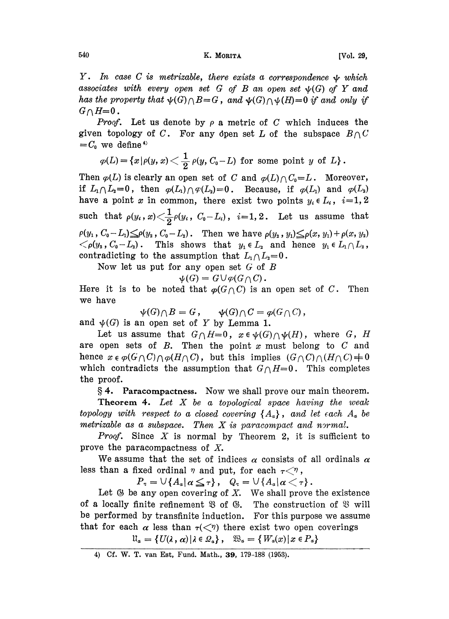## 540 **K. MORITA Example 1 K. MORITA Example 1 W EXAMPLE 1 W EXAMPLE 1 EXAMPLE 1 EXAMPLE 1 EXAMPLE 1 EXAMPLE 1 EXAMPLE 1 EXAMPLE 1 EXAMPLE 1 EXAMPLE 1 EXAMPLE 1 EXAMPLE 1 EXAMPLE 1 EXAMP**

Y. In case C is metrizable, there exists a correspondence  $\psi$  which associates with every open set G of B an open set  $\psi(G)$  of Y and has the property that  $\psi(G) \cap B = G$ , and  $\psi(G) \cap \psi(H)=0$  if and only if  $G \cap H = 0$ .<br>*Proof.* 

Let us denote by  $\rho$  a metric of C which induces the given topology of C. For any open set L of the subspace  $B \cap C$  $=C_0$  we define<sup>4)</sup>

$$
\varphi(L)\!=\!\left\{x\left|\rho(y,\,x\right)\right\}<\!\frac{1}{2}\,\rho(y,\,C_0\!-\!L)\;\,\text{for some point}\;\,y\;\,\text{of}\;\,L\right\}.
$$

Then  $\varphi(L)$  is clearly an open set of C and  $\varphi(L)/C_0=L$ . Moreover, if  $L_1 \cap L_2=0$ , then  $\varphi(L_1) \cap \varphi(L_2)=0$ . Because, if  $\varphi(L_1)$  and  $\varphi(L_2)$ have a point x in common, there exist two points  $y_i \in L_i$ ,  $i=1, 2$ such that  $\rho(y_i, x) \leq \frac{1}{2}\rho(y_i, C_0 - L_i)$ ,  $i=1, 2$ . Let us assume that  $\rho(y_1, C_0 - L_1) \leq \rho(y_2, C_0 - L_2)$ . Then we have  $\rho(y_2, y_1) \leq \rho(x, y_1) + \rho(x, y_2)$  $\langle \rho(y_2, C_0-L_2) \rangle$ . This shows that  $y_1 \in L_2$  and hence  $y_1 \in L_1 \cap L_2$ , contradicting to the assumption that  $L_1 \cap L_2=0$ .

Now let us put for any open set  $G$  of  $B$ 

 $\psi(G) = G \cup \varphi(G \cap C)$ .

Here it is to be noted that  $\varphi(G \cap C)$  is an open set of C. Then we have

 $\psi(G) \cap B = G, \quad \psi(G) \cap C = \varphi(G \cap C),$ 

and  $\psi(G)$  is an open set of Y by Lemma 1.

Let us assume that  $G \cap H=0$ ,  $x \in \psi(G) \cap \psi(H)$ , where G, H are open sets of  $B$ . Then the point  $x$  must belong to  $C$  and hence  $x \in \varphi(G \cap C) \cap \varphi(H \cap C)$ , but this implies  $(G \cap C) \cap (H \cap C) \neq 0$ which contradicts the assumption that  $G \cap H=0$ . This completes the proof.

. Paracompactness. Now we shall prove our main theorem.

**Theorem 4.** Let  $X$  be a topological space having the weak topology with respect to a closed covering  $\{A_{\alpha}\}\,$ , and let each  $A_{\alpha}$  be metrizable as a subspace. Then  $X$  is paracompact and normal.

**Proof.** Since  $X$  is normal by Theorem 2, it is sufficient to prove the paracompactness of X.

We assume that the set of indices  $\alpha$  consists of all ordinals  $\alpha$ less than a fixed ordinal  $\eta$  and put, for each  $\tau \leq \eta$ ,

 $P_{\tau} = \bigcup \{ A_{\alpha} | \alpha \leq \tau \}, \quad Q_{\tau} = \bigcup \{ A_{\alpha} | \alpha \lt \tau \}.$ 

Let  $\mathfrak G$  be any open covering of  $X$ . We shall prove the existence of a locally finite refinement  $\mathfrak{B}$  of  $\mathfrak{G}$ . The construction of  $\mathfrak{B}$  will be performed by transfinite induction. For this purpose we assume that for each  $\alpha$  less than  $\tau(\langle \gamma \rangle)$  there exist two open coverings

 $\mathfrak{U}_{\alpha} = \{ U(\lambda, \alpha) | \lambda \in \mathcal{Q}_{\alpha} \}, \quad \mathfrak{W}_{\alpha} = \{ W_{\alpha}(x) | x \in P_{\alpha} \}$ 

<sup>4)</sup> Cf. W. T. van Est, Fund. Math., 39, 179-188 (1953).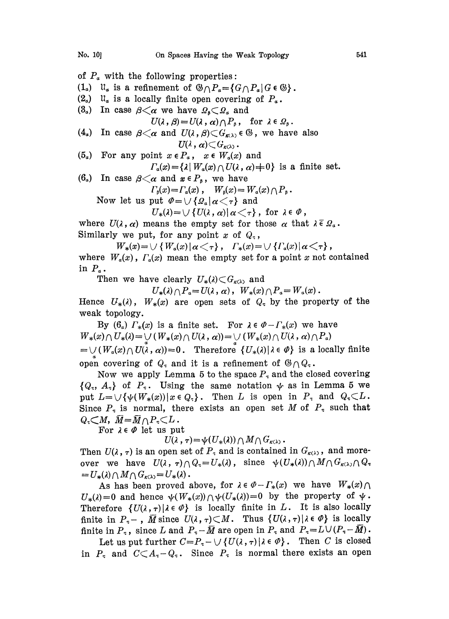of  $P_a$  with the following properties:  $(1_{\alpha})$   $\mathfrak{u}_{\alpha}$  is a refinement of  $\mathfrak{G} \cap P_{\alpha} = \{G \cap P_{\alpha} | G \in \mathfrak{G}\}\.$  $(2_{\alpha})$   $\mathfrak{u}_{\alpha}$  is a locally finite open covering of  $P_{\alpha}$ .  $(3_a)$  In case  $\beta \leq \alpha$  we have  $\Omega_{\beta} \subset \Omega_a$  and (4.) In case  $\beta{<}\alpha$  and  $U(\lambda\,,\beta){\subset}G_{\kappa(\lambda)}\,\epsilon$  G, we have also  $U(\lambda, \beta) = U(\lambda, \alpha) \cap P_{\beta}$ , for  $\lambda \in \Omega_{\beta}$ .<br>  $\alpha$  and  $U(\lambda, \beta) \subset G_{\kappa(\lambda)} \in \mathbb{G}$ , we hav  $U(\lambda\, ,\, \alpha) \! \subset \! G_{{\kappa(\lambda)}}$  . (5<sub>a</sub>) For any point  $x \in P_a$ ,  $x \in W_a(x)$  and  $\Gamma_a(x) = {\lambda | W_a(x) \bigcap U(\lambda, \alpha) + 0}$  is a finite set.

(6<sub>a</sub>) In case  $\beta \leq \alpha$  and  $x \in P_{\beta}$ , we have  $\Gamma_{\scriptscriptstyle{\beta}}(x) = \Gamma_{\scriptscriptstyle{\alpha}}(x)$ ,  $W_{\scriptscriptstyle{\beta}}(x) = W_{\scriptscriptstyle{\alpha}}(x) \cap P_{\scriptscriptstyle{\beta}}$ .

Now let us put  $\mathcal{U}_{\beta}(x) = \Gamma_a(x)$ ,  $W_{\beta}(x) = W_a(x) \cap P_{\beta}$ .<br>
Now let us put  $\mathcal{U} = \bigcup \{ \Omega_a | \alpha \langle \tau \rangle \}$  and<br>  $U_*(\lambda) = \bigcup \{ U(\lambda, \alpha) | \alpha \langle \tau \rangle \}$ , for  $\lambda \in \mathcal{V}$ ,

$$
U_*(\lambda) = \bigcup \{ U(\lambda, \alpha) | \alpha \langle \tau \rangle, \text{ for } \lambda \in \emptyset \}
$$

Similarly we put, for any point x of  $Q<sub>z</sub>$ ,  $U_*(\lambda) = \bigcup \{ U(\lambda, \alpha) | \alpha \langle \tau \rangle \}$ , for  $\lambda \in \emptyset$ ,<br>where  $U(\lambda, \alpha)$  means the empty set for those  $\alpha$  that  $\lambda \in \Omega$ .

 $W_*(x) = \bigcup \{W_a(x) | a \big\langle \tau \}$ ,  $\Gamma_*(x) = \bigcup \{V_a(x) | a \big\langle \tau \}$ ,

where  $W_a(x)$ ,  $\Gamma_a(x)$  mean the empty set for a point x not contained in  $P_a$ .

Then we have clearly  $U_*(\lambda) \subset G_{\kappa(\lambda)}$  and

 $U_*(\lambda) \cap P_a = U(\lambda, \, \alpha)$ ,  $W_*(x) \cap P_a = W_a(x)$ .

Hence  $U_*(\lambda)$ ,  $W_*(x)$  are open sets of  $Q_{\tau}$  by the property of the weak topology.

By  $(6_a)$   $\Gamma_*(x)$  is a finite set. For  $\lambda \in \mathcal{O} - \Gamma_*(x)$  we have  $W_*(x) \cap U_*(\lambda) = \bigcup (W_*(x) \cap U(\lambda, \alpha)) = \bigcup (W_*(x) \cap U(\lambda, \alpha) \cap P_\alpha)$  $=\bigcup (W_a(x)\bigcap U(\lambda, \alpha))=0$ . Therefore  $\{U_*(\lambda)\:|\: \lambda\in \varPhi\}$  is a locally finite open covering of  $Q_{\tau}$  and it is a refinement of  $\mathfrak{G}_{\bigcap}Q_{\tau}$ .

Now we apply Lemma 5 to the space  $P<sub>\tau</sub>$  and the closed covering  $\{Q_{\tau}, A_{\tau}\}\$  of  $P_{\tau}$ . Using the same notation  $\psi$  as in Lemma 5 we put  $L = \bigcup \{\psi(W_*(x)) | x \in Q_{\tau}\}.$  Then L is open in  $P_{\tau}$  and  $Q_{\tau} \subset L$ . Since  $P<sub>\tau</sub>$  is normal, there exists an open set M of  $P<sub>\tau</sub>$  such that  $Q_{\tau} \subset M$ ,  $\overline{M} = \overline{M} \cap P_{\tau} \subset L$ .

For  $\lambda \in \varPhi$  let us put

 $U(\lambda, \tau) = \psi(U_*(\lambda)) \cap M \cap G_{\kappa(\lambda)}.$ 

Then  $U(\lambda, \tau)$  is an open set of  $P_{\tau}$  and is contained in  $G_{\kappa(\lambda)}$ , and moreover we have  $U(\lambda, \tau) \cap Q_{\tau} = U_{*}(\lambda)$ , since  $\psi(U_{*}(\lambda)) \cap M \cap G_{\kappa(\lambda)} \cap Q_{\tau}$ <br>=  $U_{*}(\lambda) \cap M \cap G_{\kappa(\lambda)} = U_{*}(\lambda)$ .

As has been proved above, for  $\lambda \in \emptyset - \Gamma_*(x)$  we have  $W_*(x) \cap$  $U_*(\lambda)=0$  and hence  $\psi(W_*(x))\cap \psi(U_*(\lambda))=0$  by the property of  $\psi$ . Therefore  $\{U(\lambda, \tau) | \lambda \in \emptyset\}$  is locally finite in L. It is also locally finite in  $P_{\tau}$  –,  $\overline{M}$  since  $U(\lambda, \tau) \subset M$ . Thus  $\{U(\lambda, \tau) | \lambda \in \varPhi\}$  is locally finite in  $P_{\tau}$ , since L and  $P_{\tau}-\overline{M}$  are open in  $P_{\tau}$  and  $P_{\tau}=L\cup (P_{\tau}-\overline{M})$ .

Let us put further  $C=P_{\tau}-\bigcup \{U(\lambda,\tau)\,|\,\lambda\in\varPhi\}$ . Then C is closed in  $P<sub>x</sub>$  and  $C\subset A<sub>x</sub>-Q<sub>x</sub>$ . Since  $P<sub>x</sub>$  is normal there exists an open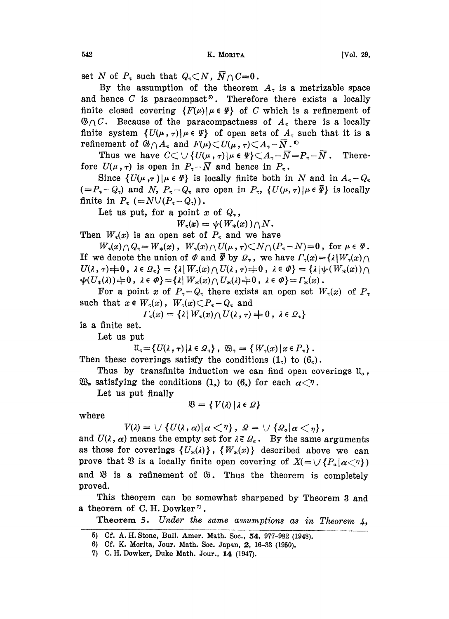set N of  $P<sub>\tau</sub>$  such that  $Q<sub>\tau</sub> \subset N$ ,  $\overline{N} \cap C = 0$ .

By the assumption of the theorem  $A<sub>z</sub>$  is a metrizable space and hence  $C$  is paracompact<sup>5</sup>. Therefore there exists a locally finite closed covering  $\{F(\mu)\mid \mu \in \Psi\}$  of C which is a refinement of  $\mathcal{B}\cap C$ . Because of the paracompactness of  $A_{\tau}$  there is a locally finite system  $\{U(\mu, \tau) | \mu \in \Psi\}$  of open sets of  $A_{\tau}$  such that it is a finite system  $\{U(\mu), \tau) | \mu \in \Psi\}$  of open sets of  $A$ <br>refinement of  $\mathcal{B} \cap A_{\tau}$  and  $F(\mu) \subset U(\mu, \tau) \subset A_{\tau} - \overline{N}$ .

Thus we have  $C \subset \bigcup \{U(\mu, \tau) | \mu \in \Psi\} \subset A_{\tau} - \overline{N} = P_{\tau} - \overline{N}$ . Therefore  $U(\mu, \tau)$  is open in  $P_{\tau} - \overline{N}$  and hence in  $P_{\tau}$ .

Since  $\{U(\mu, \tau)\mid \mu \in \Psi\}$  is locally finite both in N and in  $A_{\tau} - Q_{\tau}$  $(=P_{\tau}-Q_{\tau})$  and N,  $P_{\tau}-Q_{\tau}$  are open in  $P_{\tau}$ ,  $\{U(\mu,\tau)|\mu\in\overline{\Psi}\}$  is locally finite in  $P_{\tau}$  (=NU( $P_{\tau}$ -Q<sub> $\tau$ </sub>)).

Let us put, for a point x of  $Q_{\tau}$ ,

$$
W_{\tau}(x) = \psi(W_{*}(x)) \cap N.
$$

Then  $W_{\tau}(x)$  is an open set of  $P_{\tau}$  and we have

 $W_r(x) \cap Q_r = W_*(x)$ ,  $W_r(x) \cap U(\mu, r) \subset N \cap (P_r - N) = 0$ , for  $\mu \in \Psi$ . If we denote the union of  $\varPhi$  and  $\overline{\varPsi}$  by  $\Omega_{\tau}$ , we have  $\Gamma_{\tau}(x) = {\lambda | W_{\tau}(x) \bigcap \tau}$  $U(\lambda, \tau) \neq 0$ ,  $\lambda \in \Omega_{\tau}$  =  $\{\lambda | W_{\tau}(x) \cap U(\lambda, \tau) = 0$ ,  $\lambda \in \varnothing$  =  $\{\lambda | \psi(W_*(x)) \cap$  $\psi(U_*(\lambda))=0$ ,  $\lambda \in \varPhi$ } = { $\lambda |W_*(x) \cap U_*(\lambda)$  + 0,  $\lambda \in \varPhi$ } =  $\Gamma_*(x)$ .

For a point x of  $P_{\tau}-Q_{\tau}$  there exists an open set  $W_{\tau}(x)$  of  $P_{\tau}$ such that  $x \in W_\tau(x)$ ,  $W_\tau(x) \subset P_\tau - Q_\tau$  and

$$
\Gamma_{\tau}(x) = \{\lambda \mid W_{\tau}(x) \cap U(\lambda, \tau) = 0, \lambda \in \mathcal{Q}_{\tau}\}\
$$

is a finite set.

Let us put

$$
\mathfrak{U}_{\tau} = \{ U(\lambda, \tau) | \lambda \in \Omega_{\tau} \}, \ \mathfrak{W}_{\tau} = \{ W_{\tau}(x) | x \in P_{\tau} \}.
$$

Then these coverings satisfy the conditions  $(1_7)$  to  $(6_7)$ .

Thus by transfinite induction we can find open coverings  $\mathfrak{u}_a$ ,  $\mathfrak{W}_{\alpha}$  satisfying the conditions  $(1_{\alpha})$  to  $(6_{\alpha})$  for each  $\alpha \leq \gamma$ .

Let us put finally

$$
\mathfrak{V} = \{ V(\lambda) | \lambda \in \Omega \}
$$

where

 $V(\lambda) = \bigcup \{ U(\lambda, \alpha) | \alpha < \gamma \}, \quad \Omega = \bigcup \{ \Omega_{\alpha} | \alpha < \gamma \},$ <br>and  $U(\lambda, \alpha)$  means the empty set for  $\lambda \in \Omega_{\alpha}$ . By the same arguments as those for coverings  $\{U_*(\lambda)\}\,$ ,  $\{W_*(x)\}$  described above we can prove that  $\mathfrak{B}$  is a locally finite open covering of  $X(=\bigcup \{P_a | \alpha \langle \gamma \rangle\})$ and  $\mathfrak{B}$  is a refinement of  $\mathfrak{G}$ . Thus the theorem is completely proved.

This theorem can be somewhat sharpened by Theorem 3 and a theorem of C.H. Dowker<sup> $\sigma$ </sup>.

Theorem 5. Under the same assumptions as in Theorem  $4$ ,

- 5) Cf. A. H. Stone, Bull. Amer. Math. Soc., 54, 977-982 (1948).
- 6) Cf. K. Morita, Jour. Math. Soc. Japan, 2, 16-33 (1950).
- 7) C.H. Dowker, Duke Math. Jour., 14 (1947),